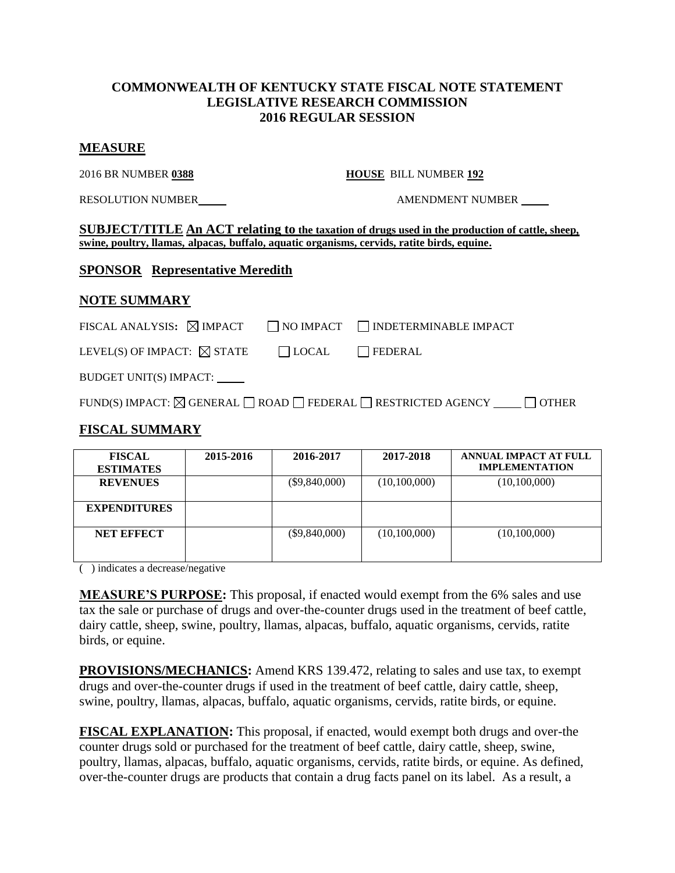## **COMMONWEALTH OF KENTUCKY STATE FISCAL NOTE STATEMENT LEGISLATIVE RESEARCH COMMISSION 2016 REGULAR SESSION**

#### **MEASURE**

2016 BR NUMBER **0388 HOUSE** BILL NUMBER **192**

RESOLUTION NUMBER  $\qquad$   $\qquad$   $\qquad$   $\qquad$   $\qquad$   $\qquad$   $\qquad$   $\qquad$   $\qquad$   $\qquad$   $\qquad$   $\qquad$   $\qquad$   $\qquad$   $\qquad$   $\qquad$   $\qquad$   $\qquad$   $\qquad$   $\qquad$   $\qquad$   $\qquad$   $\qquad$   $\qquad$   $\qquad$   $\qquad$   $\qquad$   $\qquad$   $\qquad$   $\qquad$   $\qquad$   $\qquad$   $\qquad$   $\qquad$ 

**SUBJECT/TITLE An ACT relating to the taxation of drugs used in the production of cattle, sheep, swine, poultry, llamas, alpacas, buffalo, aquatic organisms, cervids, ratite birds, equine.**

## **SPONSOR Representative Meredith**

# **NOTE SUMMARY**

| FISCAL ANALYSIS: $\boxtimes$ IMPACT   |              | $\Box$ NO IMPACT $\Box$ INDETERMINABLE IMPACT |
|---------------------------------------|--------------|-----------------------------------------------|
| LEVEL(S) OF IMPACT: $\boxtimes$ STATE | $\Box$ LOCAL | $\Box$ FEDERAL                                |

BUDGET UNIT(S) IMPACT:

FUND(S) IMPACT:  $\boxtimes$  GENERAL  $\Box$  ROAD  $\Box$  FEDERAL  $\Box$  RESTRICTED AGENCY  $\Box$  OTHER

# **FISCAL SUMMARY**

| <b>FISCAL</b><br><b>ESTIMATES</b> | 2015-2016 | 2016-2017       | 2017-2018    | ANNUAL IMPACT AT FULL<br><b>IMPLEMENTATION</b> |
|-----------------------------------|-----------|-----------------|--------------|------------------------------------------------|
| <b>REVENUES</b>                   |           | $(\$9,840,000)$ | (10,100,000) | (10,100,000)                                   |
| <b>EXPENDITURES</b>               |           |                 |              |                                                |
| <b>NET EFFECT</b>                 |           | $(\$9,840,000)$ | (10,100,000) | (10,100,000)                                   |

( ) indicates a decrease/negative

**MEASURE'S PURPOSE:** This proposal, if enacted would exempt from the 6% sales and use tax the sale or purchase of drugs and over-the-counter drugs used in the treatment of beef cattle, dairy cattle, sheep, swine, poultry, llamas, alpacas, buffalo, aquatic organisms, cervids, ratite birds, or equine.

**PROVISIONS/MECHANICS:** Amend KRS 139.472, relating to sales and use tax, to exempt drugs and over-the-counter drugs if used in the treatment of beef cattle, dairy cattle, sheep, swine, poultry, llamas, alpacas, buffalo, aquatic organisms, cervids, ratite birds, or equine.

**FISCAL EXPLANATION:** This proposal, if enacted, would exempt both drugs and over-the counter drugs sold or purchased for the treatment of beef cattle, dairy cattle, sheep, swine, poultry, llamas, alpacas, buffalo, aquatic organisms, cervids, ratite birds, or equine. As defined, over-the-counter drugs are products that contain a drug facts panel on its label. As a result, a